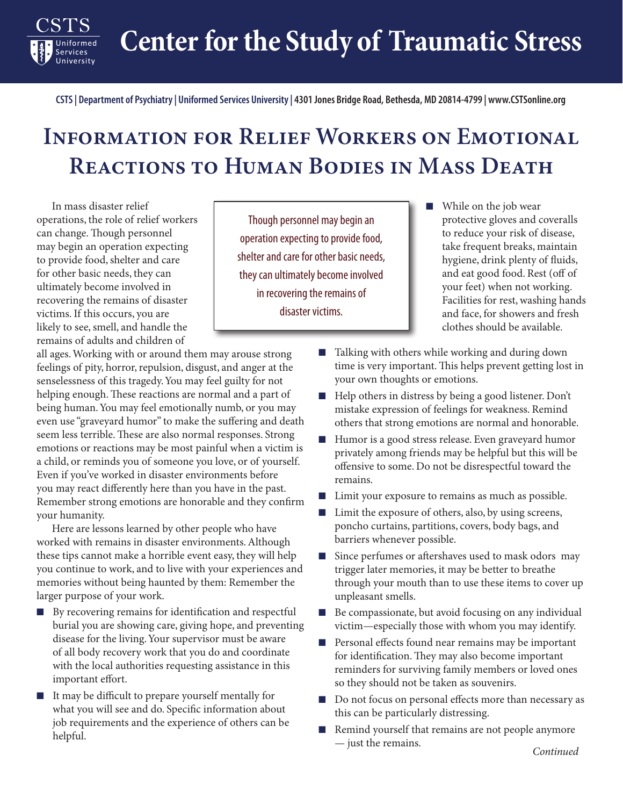**Center for the Study of Traumatic Stress**

**CSTS | Department of Psychiatry | Uniformed Services University | 4301 Jones Bridge Road, Bethesda, MD 20814-4799 | www.CSTSonline.org**

## **Information for Relief Workers on Emotional Reactions to Human Bodies in Mass Death**

In mass disaster relief operations, the role of relief workers can change. Though personnel may begin an operation expecting to provide food, shelter and care for other basic needs, they can ultimately become involved in recovering the remains of disaster victims. If this occurs, you are likely to see, smell, and handle the remains of adults and children of

**Services** University

all ages. Working with or around them may arouse strong feelings of pity, horror, repulsion, disgust, and anger at the senselessness of this tragedy. You may feel guilty for not helping enough. These reactions are normal and a part of being human. You may feel emotionally numb, or you may even use "graveyard humor" to make the suffering and death seem less terrible. These are also normal responses. Strong emotions or reactions may be most painful when a victim is a child, or reminds you of someone you love, or of yourself. Even if you've worked in disaster environments before you may react differently here than you have in the past. Remember strong emotions are honorable and they confirm your humanity.

Here are lessons learned by other people who have worked with remains in disaster environments. Although these tips cannot make a horrible event easy, they will help you continue to work, and to live with your experiences and memories without being haunted by them: Remember the larger purpose of your work.

- By recovering remains for identification and respectful burial you are showing care, giving hope, and preventing disease for the living. Your supervisor must be aware of all body recovery work that you do and coordinate with the local authorities requesting assistance in this important effort.
- It may be difficult to prepare yourself mentally for what you will see and do. Specific information about job requirements and the experience of others can be helpful.

Though personnel may begin an operation expecting to provide food, shelter and care for other basic needs, they can ultimately become involved in recovering the remains of disaster victims.

- While on the job wear protective gloves and coveralls to reduce your risk of disease, take frequent breaks, maintain hygiene, drink plenty of fluids, and eat good food. Rest (off of your feet) when not working. Facilities for rest, washing hands and face, for showers and fresh clothes should be available.
- Talking with others while working and during down time is very important. This helps prevent getting lost in your own thoughts or emotions.
- Help others in distress by being a good listener. Don't mistake expression of feelings for weakness. Remind others that strong emotions are normal and honorable.
- Humor is a good stress release. Even graveyard humor privately among friends may be helpful but this will be offensive to some. Do not be disrespectful toward the remains.
- Limit your exposure to remains as much as possible.
- Limit the exposure of others, also, by using screens, poncho curtains, partitions, covers, body bags, and barriers whenever possible.
- Since perfumes or aftershaves used to mask odors may trigger later memories, it may be better to breathe through your mouth than to use these items to cover up unpleasant smells.
- Be compassionate, but avoid focusing on any individual victim—especially those with whom you may identify.
- Personal effects found near remains may be important for identification. They may also become important reminders for surviving family members or loved ones so they should not be taken as souvenirs.
- Do not focus on personal effects more than necessary as this can be particularly distressing.
- Remind yourself that remains are not people anymore — just the remains. *Continued*